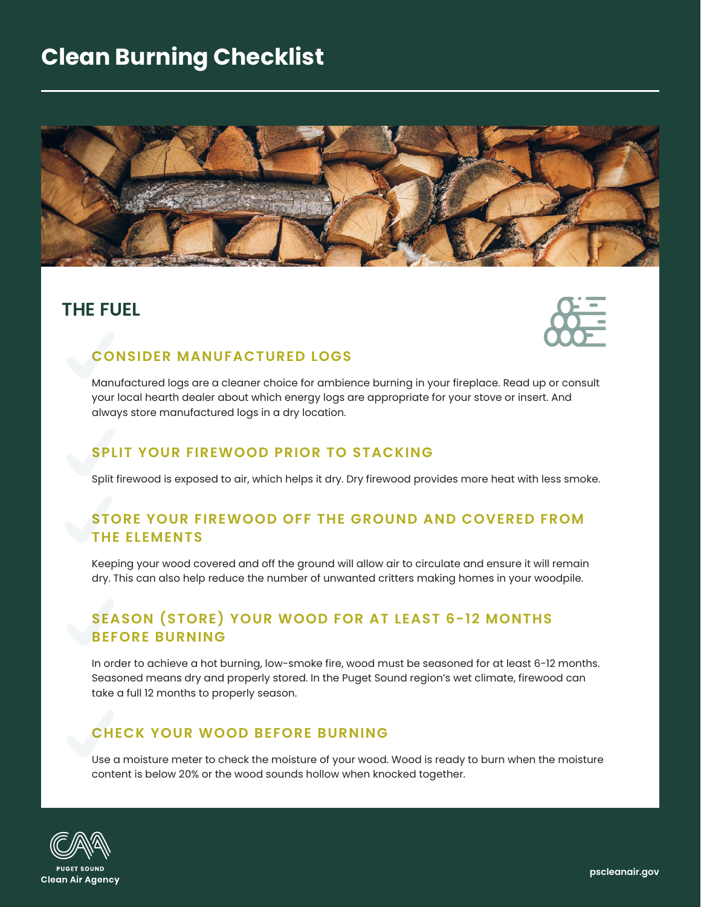# **Clean Burning Checklist**



### **THE FUEL**



#### **CONSIDER MANUFACTURED LOGS**

Manufactured logs are a cleaner choice for ambience burning in your fireplace. Read up or consult your local hearth dealer about which energy logs are appropriate for your stove or insert. And always store manufactured logs in a dry location.

#### **SPLIT YOUR FIREWOOD PRIOR TO STACKING**

Split firewood is exposed to air, which helps it dry. Dry firewood provides more heat with less smoke.

### **STORE YOUR FIREWOOD OFF THE GROUND AND COVERED FROM THE ELEMENTS**

Keeping your wood covered and off the ground will allow air to circulate and ensure it will remain dry. This can also help reduce the number of unwanted critters making homes in your woodpile.

### **SEASON (STORE) YOUR WOOD FOR AT LEAST 6-12 MONTHS BEFORE BURNING**

In order to achieve a hot burning, low-smoke fire, wood must be seasoned for at least 6-12 months. Seasoned means dry and properly stored. In the Puget Sound region's wet climate, firewood can take a full 12 months to properly season.

### **CHECK YOUR WOOD BEFORE BURNING**

Use a moisture meter to check the moisture of your wood. Wood is ready to burn when the moisture content is below 20% or the wood sounds hollow when knocked together.